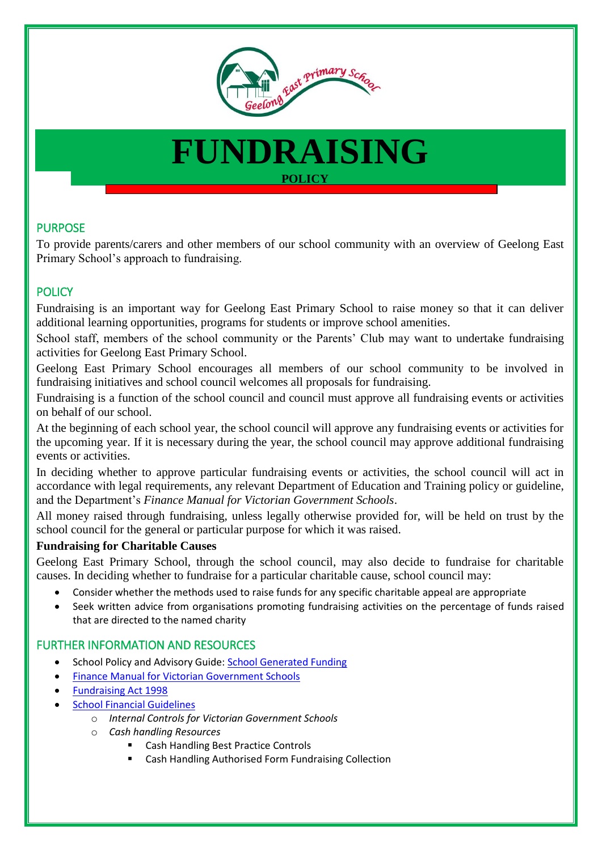

# **FUNDRAISING POLICY**

# PURPOSE

To provide parents/carers and other members of our school community with an overview of Geelong East Primary School's approach to fundraising.

# **POLICY**

Fundraising is an important way for Geelong East Primary School to raise money so that it can deliver additional learning opportunities, programs for students or improve school amenities.

School staff, members of the school community or the Parents' Club may want to undertake fundraising activities for Geelong East Primary School.

Geelong East Primary School encourages all members of our school community to be involved in fundraising initiatives and school council welcomes all proposals for fundraising.

Fundraising is a function of the school council and council must approve all fundraising events or activities on behalf of our school.

At the beginning of each school year, the school council will approve any fundraising events or activities for the upcoming year. If it is necessary during the year, the school council may approve additional fundraising events or activities.

In deciding whether to approve particular fundraising events or activities, the school council will act in accordance with legal requirements, any relevant Department of Education and Training policy or guideline, and the Department's *Finance Manual for Victorian Government Schools*.

All money raised through fundraising, unless legally otherwise provided for, will be held on trust by the school council for the general or particular purpose for which it was raised.

#### **Fundraising for Charitable Causes**

Geelong East Primary School, through the school council, may also decide to fundraise for charitable causes. In deciding whether to fundraise for a particular charitable cause, school council may:

- Consider whether the methods used to raise funds for any specific charitable appeal are appropriate
- Seek written advice from organisations promoting fundraising activities on the percentage of funds raised that are directed to the named charity

### FURTHER INFORMATION AND RESOURCES

- School Policy and Advisory Guide: [School Generated Funding](http://www.education.vic.gov.au/school/principals/spag/finance/Pages/generatedfunding.aspx)
- [Finance Manual for Victorian Government Schools](http://www.education.vic.gov.au/school/teachers/management/finance/Pages/guidelines.aspx#link63)
- [Fundraising Act 1998](https://www.acnc.gov.au/ACNC/FTS/Fundraising_in_Victoria.aspx?TemplateType=P)
	- [School Financial Guidelines](http://www.education.vic.gov.au/school/teachers/management/finance/Pages/guidelines.aspx)
		- o *Internal Controls for Victorian Government Schools*
		- o *Cash handling Resources*
			- Cash Handling Best Practice Controls
			- Cash Handling Authorised Form Fundraising Collection